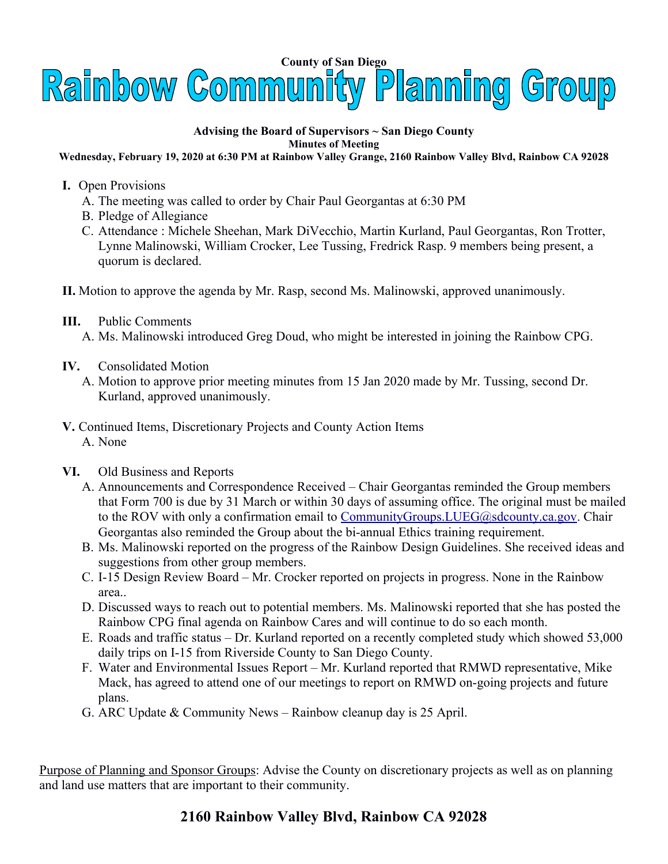

## **Advising the Board of Supervisors ~ San Diego County Minutes of Meeting**

**Wednesday, February 19, 2020 at 6:30 PM at Rainbow Valley Grange, 2160 Rainbow Valley Blvd, Rainbow CA 92028**

- **I.** Open Provisions
	- A. The meeting was called to order by Chair Paul Georgantas at 6:30 PM
	- B. Pledge of Allegiance
	- C. Attendance : Michele Sheehan, Mark DiVecchio, Martin Kurland, Paul Georgantas, Ron Trotter, Lynne Malinowski, William Crocker, Lee Tussing, Fredrick Rasp. 9 members being present, a quorum is declared.
- **II.** Motion to approve the agenda by Mr. Rasp, second Ms. Malinowski, approved unanimously.
- **III.** Public Comments A. Ms. Malinowski introduced Greg Doud, who might be interested in joining the Rainbow CPG.
- **IV.** Consolidated Motion
	- A. Motion to approve prior meeting minutes from 15 Jan 2020 made by Mr. Tussing, second Dr. Kurland, approved unanimously.
- **V.** Continued Items, Discretionary Projects and County Action Items A. None
- **VI.** Old Business and Reports
	- A. Announcements and Correspondence Received Chair Georgantas reminded the Group members that Form 700 is due by 31 March or within 30 days of assuming office. The original must be mailed to the ROV with only a confirmation email to CommunityGroups. LUEG@sdcounty.ca.gov. Chair Georgantas also reminded the Group about the bi-annual Ethics training requirement.
	- B. Ms. Malinowski reported on the progress of the Rainbow Design Guidelines. She received ideas and suggestions from other group members.
	- C. I-15 Design Review Board Mr. Crocker reported on projects in progress. None in the Rainbow area..
	- D. Discussed ways to reach out to potential members. Ms. Malinowski reported that she has posted the Rainbow CPG final agenda on Rainbow Cares and will continue to do so each month.
	- E. Roads and traffic status Dr. Kurland reported on a recently completed study which showed 53,000 daily trips on I-15 from Riverside County to San Diego County.
	- F. Water and Environmental Issues Report Mr. Kurland reported that RMWD representative, Mike Mack, has agreed to attend one of our meetings to report on RMWD on-going projects and future plans.
	- G. ARC Update & Community News Rainbow cleanup day is 25 April.

Purpose of Planning and Sponsor Groups: Advise the County on discretionary projects as well as on planning and land use matters that are important to their community.

## **2160 Rainbow Valley Blvd, Rainbow CA 92028**